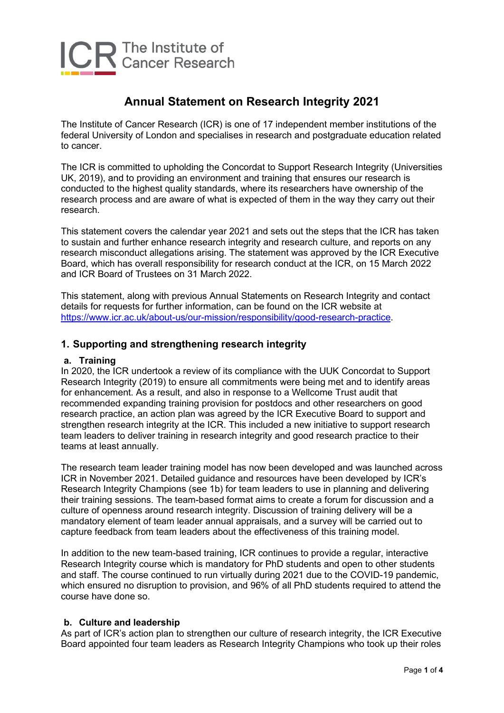

# **Annual Statement on Research Integrity 2021**

The Institute of Cancer Research (ICR) is one of 17 independent member institutions of the federal University of London and specialises in research and postgraduate education related to cancer.

The ICR is committed to upholding the Concordat to Support Research Integrity (Universities UK, 2019), and to providing an environment and training that ensures our research is conducted to the highest quality standards, where its researchers have ownership of the research process and are aware of what is expected of them in the way they carry out their research.

This statement covers the calendar year 2021 and sets out the steps that the ICR has taken to sustain and further enhance research integrity and research culture, and reports on any research misconduct allegations arising. The statement was approved by the ICR Executive Board, which has overall responsibility for research conduct at the ICR, on 15 March 2022 and ICR Board of Trustees on 31 March 2022.

This statement, along with previous Annual Statements on Research Integrity and contact details for requests for further information, can be found on the ICR website at [https://www.icr.ac.uk/about-us/our-mission/responsibility/good-research-practice.](https://www.icr.ac.uk/about-us/our-mission/responsibility/good-research-practice)

## **1. Supporting and strengthening research integrity**

#### **a. Training**

In 2020, the ICR undertook a review of its compliance with the UUK Concordat to Support Research Integrity (2019) to ensure all commitments were being met and to identify areas for enhancement. As a result, and also in response to a Wellcome Trust audit that recommended expanding training provision for postdocs and other researchers on good research practice, an action plan was agreed by the ICR Executive Board to support and strengthen research integrity at the ICR. This included a new initiative to support research team leaders to deliver training in research integrity and good research practice to their teams at least annually.

The research team leader training model has now been developed and was launched across ICR in November 2021. Detailed guidance and resources have been developed by ICR's Research Integrity Champions (see 1b) for team leaders to use in planning and delivering their training sessions. The team-based format aims to create a forum for discussion and a culture of openness around research integrity. Discussion of training delivery will be a mandatory element of team leader annual appraisals, and a survey will be carried out to capture feedback from team leaders about the effectiveness of this training model.

In addition to the new team-based training, ICR continues to provide a regular, interactive Research Integrity course which is mandatory for PhD students and open to other students and staff. The course continued to run virtually during 2021 due to the COVID-19 pandemic, which ensured no disruption to provision, and 96% of all PhD students required to attend the course have done so.

#### **b. Culture and leadership**

As part of ICR's action plan to strengthen our culture of research integrity, the ICR Executive Board appointed four team leaders as Research Integrity Champions who took up their roles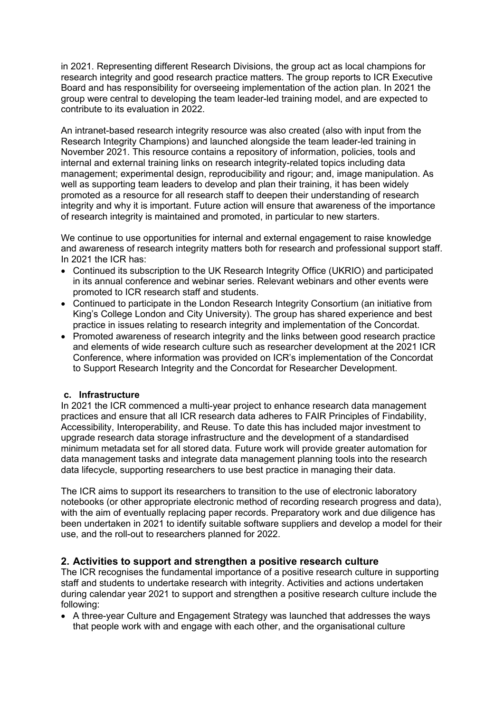in 2021. Representing different Research Divisions, the group act as local champions for research integrity and good research practice matters. The group reports to ICR Executive Board and has responsibility for overseeing implementation of the action plan. In 2021 the group were central to developing the team leader-led training model, and are expected to contribute to its evaluation in 2022.

An intranet-based research integrity resource was also created (also with input from the Research Integrity Champions) and launched alongside the team leader-led training in November 2021. This resource contains a repository of information, policies, tools and internal and external training links on research integrity-related topics including data management; experimental design, reproducibility and rigour; and, image manipulation. As well as supporting team leaders to develop and plan their training, it has been widely promoted as a resource for all research staff to deepen their understanding of research integrity and why it is important. Future action will ensure that awareness of the importance of research integrity is maintained and promoted, in particular to new starters.

We continue to use opportunities for internal and external engagement to raise knowledge and awareness of research integrity matters both for research and professional support staff. In 2021 the ICR has:

- Continued its subscription to the UK Research Integrity Office (UKRIO) and participated in its annual conference and webinar series. Relevant webinars and other events were promoted to ICR research staff and students.
- Continued to participate in the London Research Integrity Consortium (an initiative from King's College London and City University). The group has shared experience and best practice in issues relating to research integrity and implementation of the Concordat.
- Promoted awareness of research integrity and the links between good research practice and elements of wide research culture such as researcher development at the 2021 ICR Conference, where information was provided on ICR's implementation of the Concordat to Support Research Integrity and the Concordat for Researcher Development.

#### **c. Infrastructure**

In 2021 the ICR commenced a multi-year project to enhance research data management practices and ensure that all ICR research data adheres to FAIR Principles of Findability, Accessibility, Interoperability, and Reuse. To date this has included major investment to upgrade research data storage infrastructure and the development of a standardised minimum metadata set for all stored data. Future work will provide greater automation for data management tasks and integrate data management planning tools into the research data lifecycle, supporting researchers to use best practice in managing their data.

The ICR aims to support its researchers to transition to the use of electronic laboratory notebooks (or other appropriate electronic method of recording research progress and data), with the aim of eventually replacing paper records. Preparatory work and due diligence has been undertaken in 2021 to identify suitable software suppliers and develop a model for their use, and the roll-out to researchers planned for 2022.

#### **2. Activities to support and strengthen a positive research culture**

The ICR recognises the fundamental importance of a positive research culture in supporting staff and students to undertake research with integrity. Activities and actions undertaken during calendar year 2021 to support and strengthen a positive research culture include the following:

• A three-year Culture and Engagement Strategy was launched that addresses the ways that people work with and engage with each other, and the organisational culture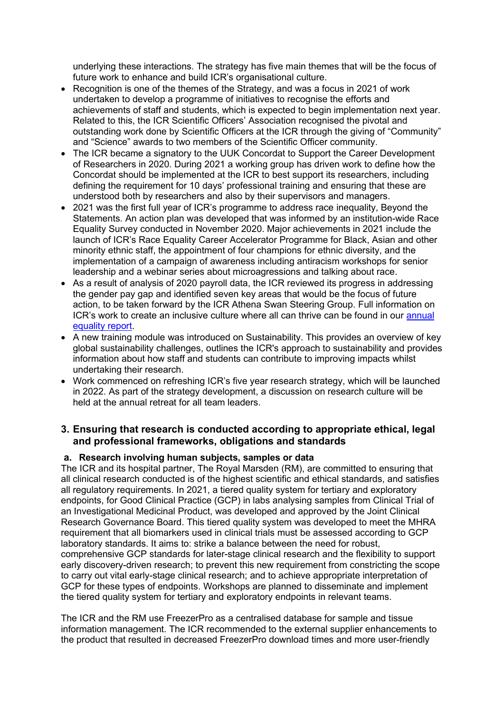underlying these interactions. The strategy has five main themes that will be the focus of future work to enhance and build ICR's organisational culture.

- Recognition is one of the themes of the Strategy, and was a focus in 2021 of work undertaken to develop a programme of initiatives to recognise the efforts and achievements of staff and students, which is expected to begin implementation next year. Related to this, the ICR Scientific Officers' Association recognised the pivotal and outstanding work done by Scientific Officers at the ICR through the giving of "Community" and "Science" awards to two members of the Scientific Officer community.
- The ICR became a signatory to the UUK Concordat to Support the Career Development of Researchers in 2020. During 2021 a working group has driven work to define how the Concordat should be implemented at the ICR to best support its researchers, including defining the requirement for 10 days' professional training and ensuring that these are understood both by researchers and also by their supervisors and managers.
- 2021 was the first full year of ICR's programme to address race inequality, Beyond the Statements. An action plan was developed that was informed by an institution-wide Race Equality Survey conducted in November 2020. Major achievements in 2021 include the launch of ICR's Race Equality Career Accelerator Programme for Black, Asian and other minority ethnic staff, the appointment of four champions for ethnic diversity, and the implementation of a campaign of awareness including antiracism workshops for senior leadership and a webinar series about microagressions and talking about race.
- As a result of analysis of 2020 payroll data, the ICR reviewed its progress in addressing the gender pay gap and identified seven key areas that would be the focus of future action, to be taken forward by the ICR Athena Swan Steering Group. Full information on ICR's work to create an inclusive culture where all can thrive can be found in our [annual](https://www.icr.ac.uk/about-us/our-mission/equality-and-diversity)  [equality report.](https://www.icr.ac.uk/about-us/our-mission/equality-and-diversity)
- A new training module was introduced on Sustainability. This provides an overview of key global sustainability challenges, outlines the ICR's approach to sustainability and provides information about how staff and students can contribute to improving impacts whilst undertaking their research.
- Work commenced on refreshing ICR's five year research strategy, which will be launched in 2022. As part of the strategy development, a discussion on research culture will be held at the annual retreat for all team leaders.

### **3. Ensuring that research is conducted according to appropriate ethical, legal and professional frameworks, obligations and standards**

#### **a. Research involving human subjects, samples or data**

The ICR and its hospital partner, The Royal Marsden (RM), are committed to ensuring that all clinical research conducted is of the highest scientific and ethical standards, and satisfies all regulatory requirements. In 2021, a tiered quality system for tertiary and exploratory endpoints, for Good Clinical Practice (GCP) in labs analysing samples from Clinical Trial of an Investigational Medicinal Product, was developed and approved by the Joint Clinical Research Governance Board. This tiered quality system was developed to meet the MHRA requirement that all biomarkers used in clinical trials must be assessed according to GCP laboratory standards. It aims to: strike a balance between the need for robust, comprehensive GCP standards for later-stage clinical research and the flexibility to support early discovery-driven research; to prevent this new requirement from constricting the scope to carry out vital early-stage clinical research; and to achieve appropriate interpretation of GCP for these types of endpoints. Workshops are planned to disseminate and implement the tiered quality system for tertiary and exploratory endpoints in relevant teams.

The ICR and the RM use FreezerPro as a centralised database for sample and tissue information management. The ICR recommended to the external supplier enhancements to the product that resulted in decreased FreezerPro download times and more user-friendly